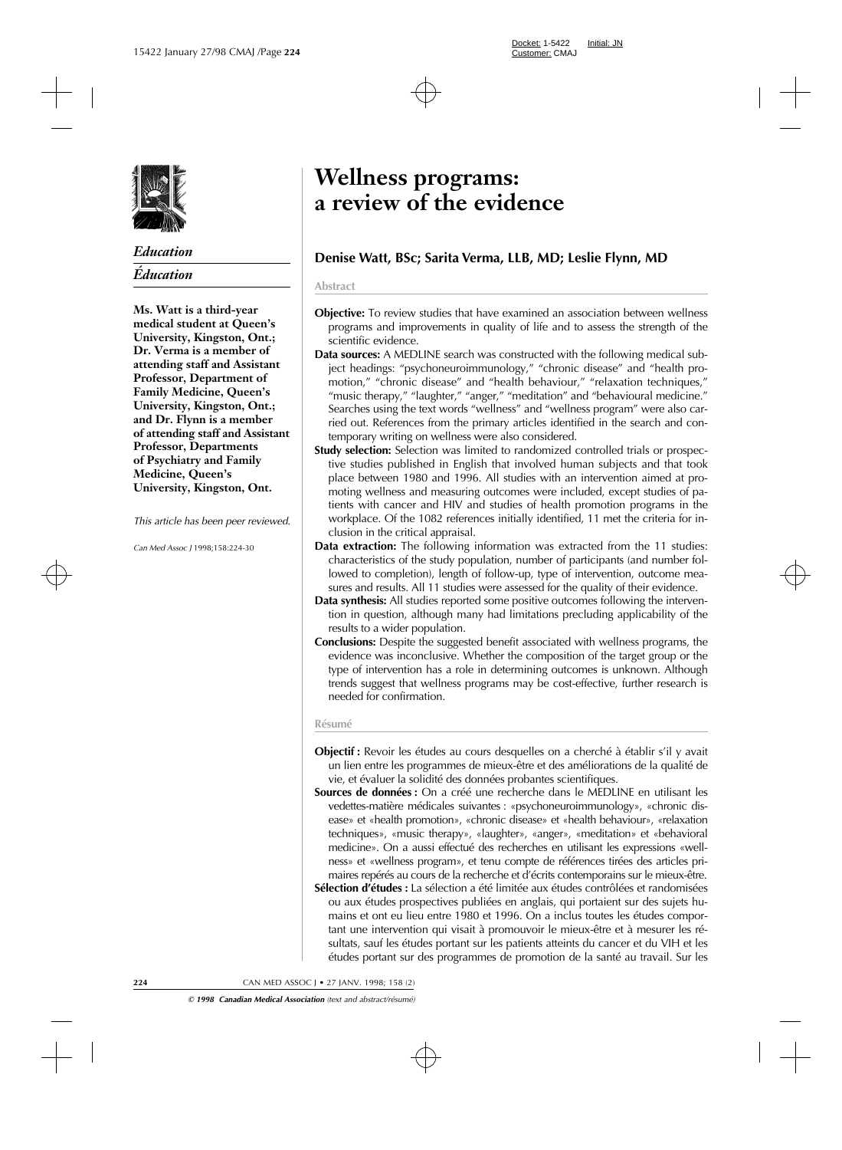

# *Education Éducation*

**Ms. Watt is a third-year medical student at Queen's University, Kingston, Ont.; Dr. Verma is a member of attending staff and Assistant Professor, Department of Family Medicine, Queen's University, Kingston, Ont.; and Dr. Flynn is a member of attending staff and Assistant Professor, Departments of Psychiatry and Family Medicine, Queen's University, Kingston, Ont.**

*This article has been peer reviewed.*

*Can Med Assoc J* 1998;158:224-30

# **Wellness programs: a review of the evidence**

# **Denise Watt, BSc; Sarita Verma, LLB, MD; Leslie Flynn, MD**

#### **Abstract**

- **Objective:** To review studies that have examined an association between wellness programs and improvements in quality of life and to assess the strength of the scientific evidence.
- **Data sources:** A MEDLINE search was constructed with the following medical subject headings: "psychoneuroimmunology," "chronic disease" and "health promotion," "chronic disease" and "health behaviour," "relaxation techniques," "music therapy," "laughter," "anger," "meditation" and "behavioural medicine." Searches using the text words "wellness" and "wellness program" were also carried out. References from the primary articles identified in the search and contemporary writing on wellness were also considered.
- **Study selection:** Selection was limited to randomized controlled trials or prospective studies published in English that involved human subjects and that took place between 1980 and 1996. All studies with an intervention aimed at promoting wellness and measuring outcomes were included, except studies of patients with cancer and HIV and studies of health promotion programs in the workplace. Of the 1082 references initially identified, 11 met the criteria for inclusion in the critical appraisal.
- **Data extraction:** The following information was extracted from the 11 studies: characteristics of the study population, number of participants (and number followed to completion), length of follow-up, type of intervention, outcome measures and results. All 11 studies were assessed for the quality of their evidence.
- **Data synthesis:** All studies reported some positive outcomes following the intervention in question, although many had limitations precluding applicability of the results to a wider population.
- **Conclusions:** Despite the suggested benefit associated with wellness programs, the evidence was inconclusive. Whether the composition of the target group or the type of intervention has a role in determining outcomes is unknown. Although trends suggest that wellness programs may be cost-effective, further research is needed for confirmation.

#### **Résumé**

- **Objectif :** Revoir les études au cours desquelles on a cherché à établir s'il y avait un lien entre les programmes de mieux-être et des améliorations de la qualité de vie, et évaluer la solidité des données probantes scientifiques.
- **Sources de données :** On a créé une recherche dans le MEDLINE en utilisant les vedettes-matière médicales suivantes : «psychoneuroimmunology», «chronic disease» et «health promotion», «chronic disease» et «health behaviour», «relaxation techniques», «music therapy», «laughter», «anger», «meditation» et «behavioral medicine». On a aussi effectué des recherches en utilisant les expressions «wellness» et «wellness program», et tenu compte de références tirées des articles primaires repérés au cours de la recherche et d'écrits contemporains sur le mieux-être.
- **Sélection d'études :** La sélection a été limitée aux études contrôlées et randomisées ou aux études prospectives publiées en anglais, qui portaient sur des sujets humains et ont eu lieu entre 1980 et 1996. On a inclus toutes les études comportant une intervention qui visait à promouvoir le mieux-être et à mesurer les résultats, sauf les études portant sur les patients atteints du cancer et du VIH et les études portant sur des programmes de promotion de la santé au travail. Sur les

**224** CAN MED ASSOC J • 27 JANV. 1998; 158 (2)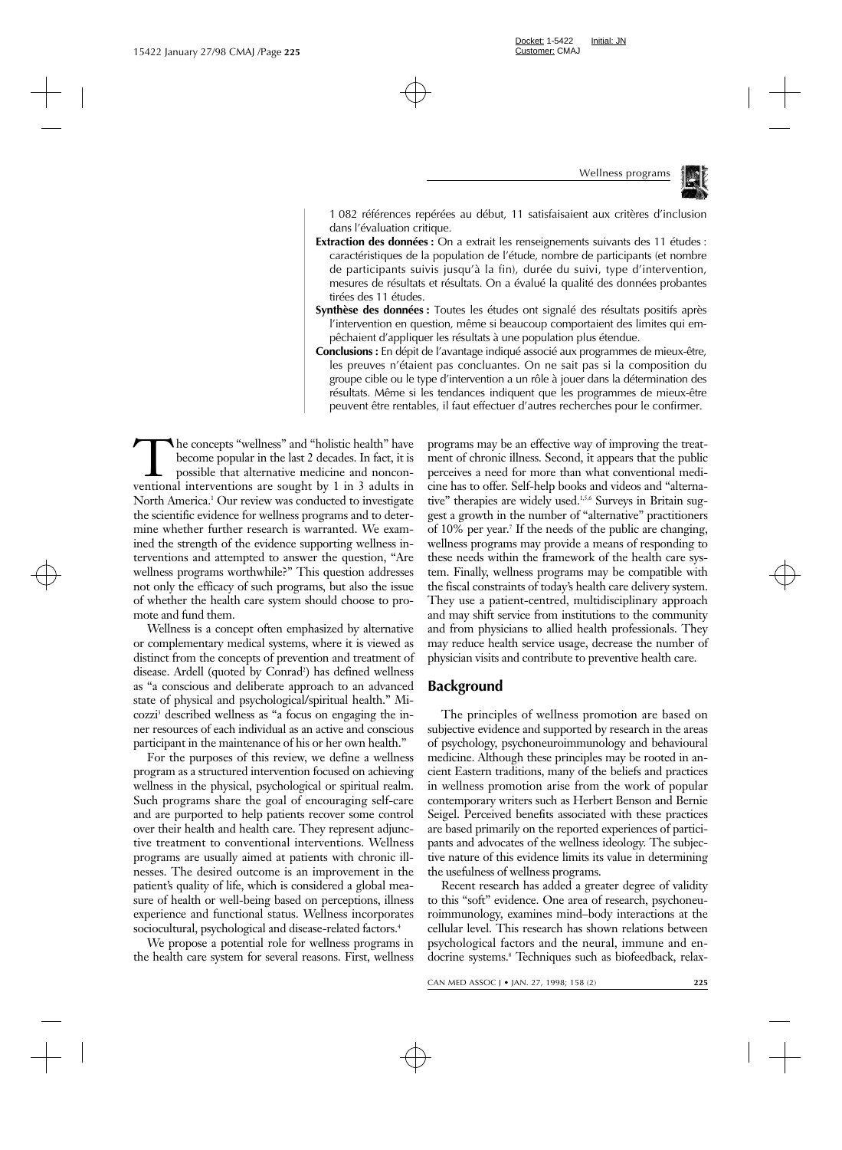

1 082 références repérées au début, 11 satisfaisaient aux critères d'inclusion dans l'évaluation critique.

- **Extraction des données :** On a extrait les renseignements suivants des 11 études : caractéristiques de la population de l'étude, nombre de participants (et nombre de participants suivis jusqu'à la fin), durée du suivi, type d'intervention, mesures de résultats et résultats. On a évalué la qualité des données probantes tirées des 11 études.
- **Synthèse des données :** Toutes les études ont signalé des résultats positifs après l'intervention en question, même si beaucoup comportaient des limites qui empêchaient d'appliquer les résultats à une population plus étendue.
- **Conclusions :** En dépit de l'avantage indiqué associé aux programmes de mieux-être, les preuves n'étaient pas concluantes. On ne sait pas si la composition du groupe cible ou le type d'intervention a un rôle à jouer dans la détermination des résultats. Même si les tendances indiquent que les programmes de mieux-être peuvent être rentables, il faut effectuer d'autres recherches pour le confirmer.

The concepts "wellness" and "holistic health" have become popular in the last 2 decades. In fact, it is possible that alternative medicine and nonconventional interventions are sought by 1 in 3 adults in North America.<sup>1</sup> Our review was conducted to investigate the scientific evidence for wellness programs and to determine whether further research is warranted. We examined the strength of the evidence supporting wellness interventions and attempted to answer the question, "Are wellness programs worthwhile?" This question addresses not only the efficacy of such programs, but also the issue of whether the health care system should choose to promote and fund them.

Wellness is a concept often emphasized by alternative or complementary medical systems, where it is viewed as distinct from the concepts of prevention and treatment of disease. Ardell (quoted by Conrad<sup>2</sup>) has defined wellness as "a conscious and deliberate approach to an advanced state of physical and psychological/spiritual health." Micozzi3 described wellness as "a focus on engaging the inner resources of each individual as an active and conscious participant in the maintenance of his or her own health."

For the purposes of this review, we define a wellness program as a structured intervention focused on achieving wellness in the physical, psychological or spiritual realm. Such programs share the goal of encouraging self-care and are purported to help patients recover some control over their health and health care. They represent adjunctive treatment to conventional interventions. Wellness programs are usually aimed at patients with chronic illnesses. The desired outcome is an improvement in the patient's quality of life, which is considered a global measure of health or well-being based on perceptions, illness experience and functional status. Wellness incorporates sociocultural, psychological and disease-related factors.<sup>4</sup>

We propose a potential role for wellness programs in the health care system for several reasons. First, wellness

programs may be an effective way of improving the treatment of chronic illness. Second, it appears that the public perceives a need for more than what conventional medicine has to offer. Self-help books and videos and "alternative" therapies are widely used.<sup>1,5,6</sup> Surveys in Britain suggest a growth in the number of "alternative" practitioners of 10% per year.7 If the needs of the public are changing, wellness programs may provide a means of responding to these needs within the framework of the health care system. Finally, wellness programs may be compatible with the fiscal constraints of today's health care delivery system. They use a patient-centred, multidisciplinary approach and may shift service from institutions to the community and from physicians to allied health professionals. They may reduce health service usage, decrease the number of physician visits and contribute to preventive health care.

## **Background**

The principles of wellness promotion are based on subjective evidence and supported by research in the areas of psychology, psychoneuroimmunology and behavioural medicine. Although these principles may be rooted in ancient Eastern traditions, many of the beliefs and practices in wellness promotion arise from the work of popular contemporary writers such as Herbert Benson and Bernie Seigel. Perceived benefits associated with these practices are based primarily on the reported experiences of participants and advocates of the wellness ideology. The subjective nature of this evidence limits its value in determining the usefulness of wellness programs.

Recent research has added a greater degree of validity to this "soft" evidence. One area of research, psychoneuroimmunology, examines mind–body interactions at the cellular level. This research has shown relations between psychological factors and the neural, immune and endocrine systems.<sup>8</sup> Techniques such as biofeedback, relax-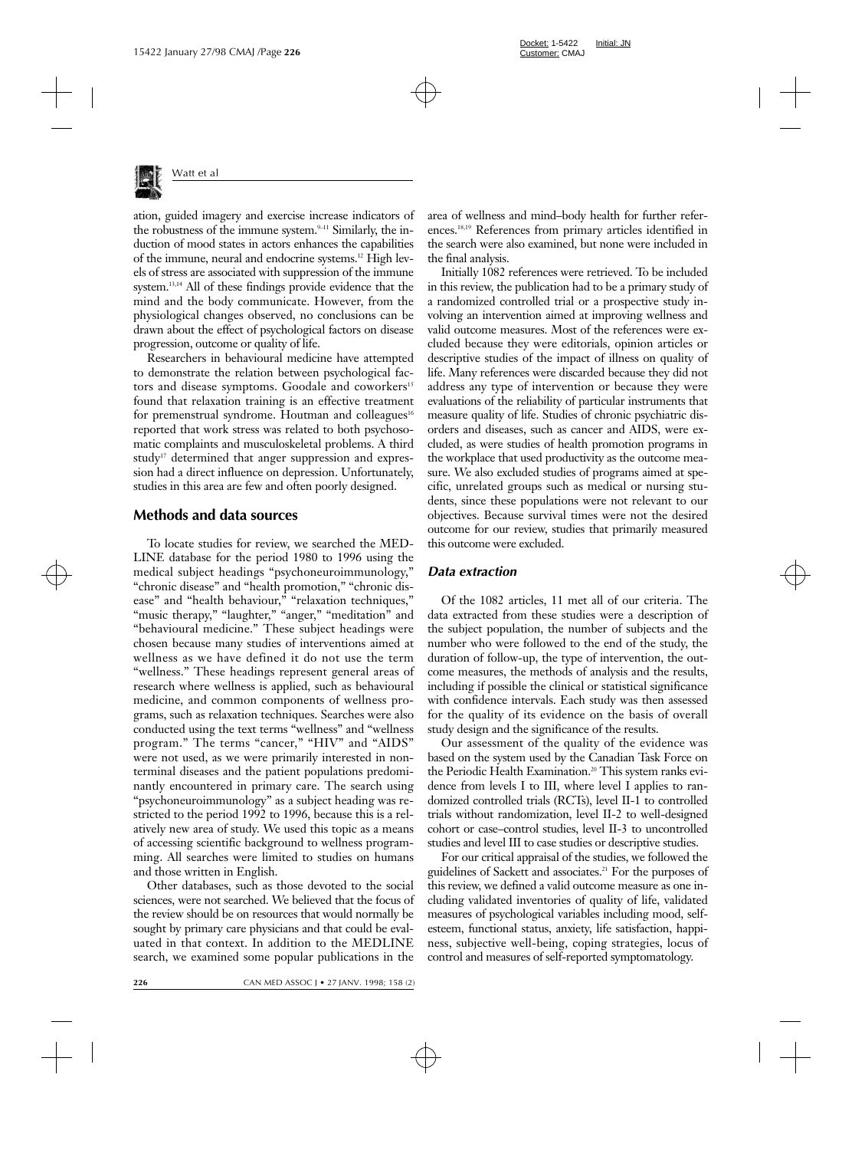

ation, guided imagery and exercise increase indicators of the robustness of the immune system. $9-11$  Similarly, the induction of mood states in actors enhances the capabilities of the immune, neural and endocrine systems.12 High levels of stress are associated with suppression of the immune system.<sup>13,14</sup> All of these findings provide evidence that the mind and the body communicate. However, from the physiological changes observed, no conclusions can be drawn about the effect of psychological factors on disease progression, outcome or quality of life.

Researchers in behavioural medicine have attempted to demonstrate the relation between psychological factors and disease symptoms. Goodale and coworkers<sup>15</sup> found that relaxation training is an effective treatment for premenstrual syndrome. Houtman and colleagues<sup>16</sup> reported that work stress was related to both psychosomatic complaints and musculoskeletal problems. A third study<sup>17</sup> determined that anger suppression and expression had a direct influence on depression. Unfortunately, studies in this area are few and often poorly designed.

### **Methods and data sources**

To locate studies for review, we searched the MED-LINE database for the period 1980 to 1996 using the medical subject headings "psychoneuroimmunology," "chronic disease" and "health promotion," "chronic disease" and "health behaviour," "relaxation techniques," "music therapy," "laughter," "anger," "meditation" and "behavioural medicine." These subject headings were chosen because many studies of interventions aimed at wellness as we have defined it do not use the term "wellness." These headings represent general areas of research where wellness is applied, such as behavioural medicine, and common components of wellness programs, such as relaxation techniques. Searches were also conducted using the text terms "wellness" and "wellness program." The terms "cancer," "HIV" and "AIDS" were not used, as we were primarily interested in nonterminal diseases and the patient populations predominantly encountered in primary care. The search using "psychoneuroimmunology" as a subject heading was restricted to the period 1992 to 1996, because this is a relatively new area of study. We used this topic as a means of accessing scientific background to wellness programming. All searches were limited to studies on humans and those written in English.

Other databases, such as those devoted to the social sciences, were not searched. We believed that the focus of the review should be on resources that would normally be sought by primary care physicians and that could be evaluated in that context. In addition to the MEDLINE search, we examined some popular publications in the

area of wellness and mind–body health for further references.18,19 References from primary articles identified in the search were also examined, but none were included in the final analysis.

Initially 1082 references were retrieved. To be included in this review, the publication had to be a primary study of a randomized controlled trial or a prospective study involving an intervention aimed at improving wellness and valid outcome measures. Most of the references were excluded because they were editorials, opinion articles or descriptive studies of the impact of illness on quality of life. Many references were discarded because they did not address any type of intervention or because they were evaluations of the reliability of particular instruments that measure quality of life. Studies of chronic psychiatric disorders and diseases, such as cancer and AIDS, were excluded, as were studies of health promotion programs in the workplace that used productivity as the outcome measure. We also excluded studies of programs aimed at specific, unrelated groups such as medical or nursing students, since these populations were not relevant to our objectives. Because survival times were not the desired outcome for our review, studies that primarily measured this outcome were excluded.

#### *Data extraction*

Of the 1082 articles, 11 met all of our criteria. The data extracted from these studies were a description of the subject population, the number of subjects and the number who were followed to the end of the study, the duration of follow-up, the type of intervention, the outcome measures, the methods of analysis and the results, including if possible the clinical or statistical significance with confidence intervals. Each study was then assessed for the quality of its evidence on the basis of overall study design and the significance of the results.

Our assessment of the quality of the evidence was based on the system used by the Canadian Task Force on the Periodic Health Examination.<sup>20</sup> This system ranks evidence from levels I to III, where level I applies to randomized controlled trials (RCTs), level II-1 to controlled trials without randomization, level II-2 to well-designed cohort or case–control studies, level II-3 to uncontrolled studies and level III to case studies or descriptive studies.

For our critical appraisal of the studies, we followed the guidelines of Sackett and associates.21 For the purposes of this review, we defined a valid outcome measure as one including validated inventories of quality of life, validated measures of psychological variables including mood, selfesteem, functional status, anxiety, life satisfaction, happiness, subjective well-being, coping strategies, locus of control and measures of self-reported symptomatology.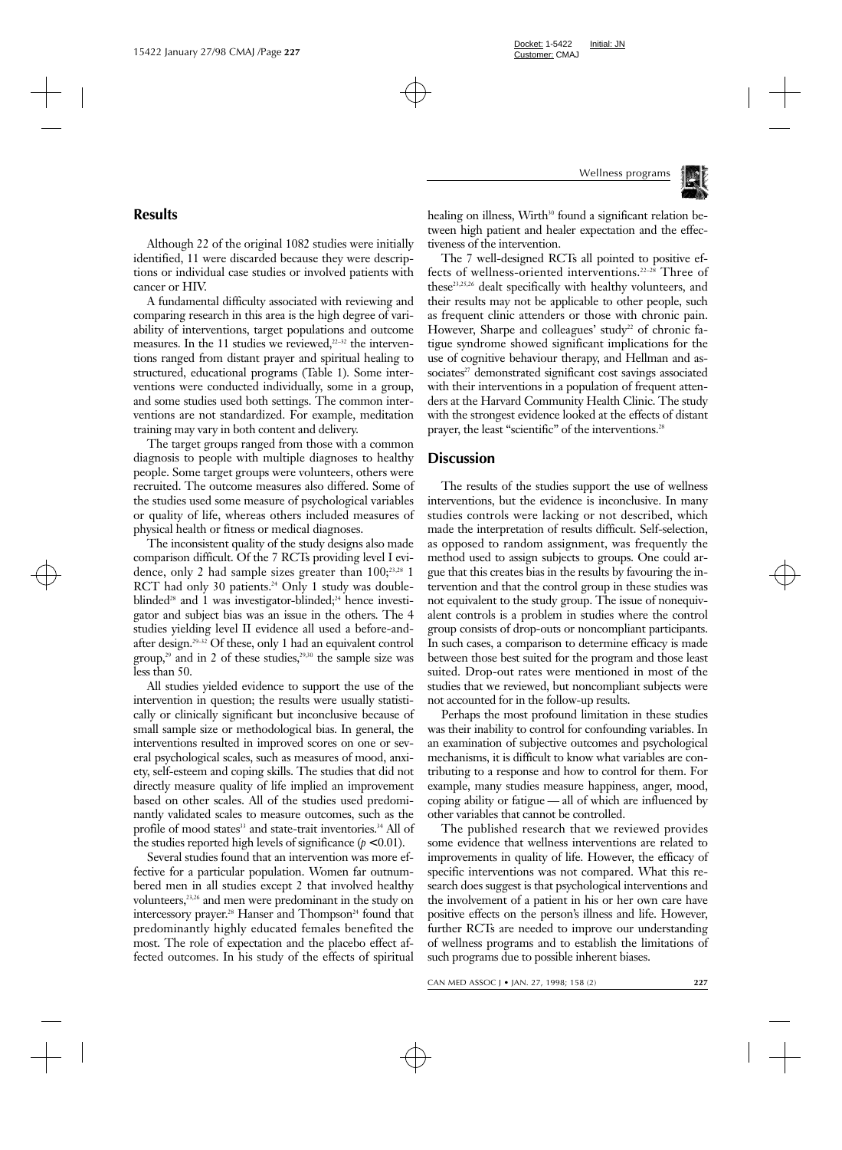

# **Results**

Although 22 of the original 1082 studies were initially identified, 11 were discarded because they were descriptions or individual case studies or involved patients with cancer or HIV.

A fundamental difficulty associated with reviewing and comparing research in this area is the high degree of variability of interventions, target populations and outcome measures. In the 11 studies we reviewed, $2^{2-32}$  the interventions ranged from distant prayer and spiritual healing to structured, educational programs (Table 1). Some interventions were conducted individually, some in a group, and some studies used both settings. The common interventions are not standardized. For example, meditation training may vary in both content and delivery.

The target groups ranged from those with a common diagnosis to people with multiple diagnoses to healthy people. Some target groups were volunteers, others were recruited. The outcome measures also differed. Some of the studies used some measure of psychological variables or quality of life, whereas others included measures of physical health or fitness or medical diagnoses.

The inconsistent quality of the study designs also made comparison difficult. Of the 7 RCTs providing level I evidence, only 2 had sample sizes greater than  $100;^{23,28}$  1 RCT had only 30 patients.<sup>24</sup> Only 1 study was doubleblinded<sup>28</sup> and 1 was investigator-blinded;<sup>24</sup> hence investigator and subject bias was an issue in the others. The 4 studies yielding level II evidence all used a before-andafter design.29–32 Of these, only 1 had an equivalent control group,<sup>29</sup> and in 2 of these studies,<sup>29,30</sup> the sample size was less than 50.

All studies yielded evidence to support the use of the intervention in question; the results were usually statistically or clinically significant but inconclusive because of small sample size or methodological bias. In general, the interventions resulted in improved scores on one or several psychological scales, such as measures of mood, anxiety, self-esteem and coping skills. The studies that did not directly measure quality of life implied an improvement based on other scales. All of the studies used predominantly validated scales to measure outcomes, such as the profile of mood states<sup>33</sup> and state-trait inventories.<sup>34</sup> All of the studies reported high levels of significance  $(p < 0.01)$ .

Several studies found that an intervention was more effective for a particular population. Women far outnumbered men in all studies except 2 that involved healthy volunteers,<sup>23,26</sup> and men were predominant in the study on intercessory prayer.<sup>28</sup> Hanser and Thompson<sup>24</sup> found that predominantly highly educated females benefited the most. The role of expectation and the placebo effect affected outcomes. In his study of the effects of spiritual healing on illness, Wirth<sup>30</sup> found a significant relation between high patient and healer expectation and the effectiveness of the intervention.

The 7 well-designed RCTs all pointed to positive effects of wellness-oriented interventions.22–28 Three of these<sup>23,25,26</sup> dealt specifically with healthy volunteers, and their results may not be applicable to other people, such as frequent clinic attenders or those with chronic pain. However, Sharpe and colleagues' study<sup>22</sup> of chronic fatigue syndrome showed significant implications for the use of cognitive behaviour therapy, and Hellman and associates<sup>27</sup> demonstrated significant cost savings associated with their interventions in a population of frequent attenders at the Harvard Community Health Clinic. The study with the strongest evidence looked at the effects of distant prayer, the least "scientific" of the interventions.<sup>28</sup>

# **Discussion**

The results of the studies support the use of wellness interventions, but the evidence is inconclusive. In many studies controls were lacking or not described, which made the interpretation of results difficult. Self-selection, as opposed to random assignment, was frequently the method used to assign subjects to groups. One could argue that this creates bias in the results by favouring the intervention and that the control group in these studies was not equivalent to the study group. The issue of nonequivalent controls is a problem in studies where the control group consists of drop-outs or noncompliant participants. In such cases, a comparison to determine efficacy is made between those best suited for the program and those least suited. Drop-out rates were mentioned in most of the studies that we reviewed, but noncompliant subjects were not accounted for in the follow-up results.

Perhaps the most profound limitation in these studies was their inability to control for confounding variables. In an examination of subjective outcomes and psychological mechanisms, it is difficult to know what variables are contributing to a response and how to control for them. For example, many studies measure happiness, anger, mood, coping ability or fatigue — all of which are influenced by other variables that cannot be controlled.

The published research that we reviewed provides some evidence that wellness interventions are related to improvements in quality of life. However, the efficacy of specific interventions was not compared. What this research does suggest is that psychological interventions and the involvement of a patient in his or her own care have positive effects on the person's illness and life. However, further RCTs are needed to improve our understanding of wellness programs and to establish the limitations of such programs due to possible inherent biases.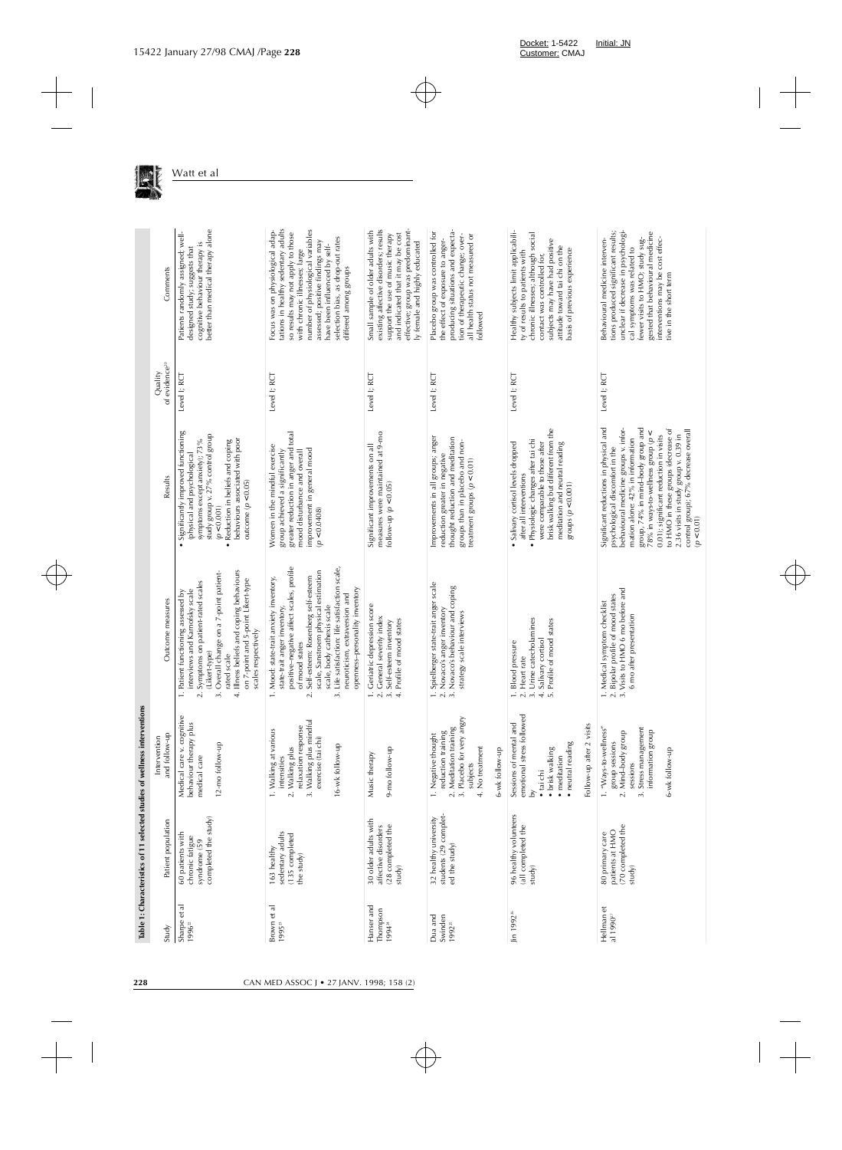|                                          |                                                                             | Table 1: Characteristics of 11 selected studies of wellness interventions                                                                                         |                                                                                                                                                                                                                                                                                                                                                                                             |                                                                                                                                                                                                                                                                                                                                                                                                                     |                                      |                                                                                                                                                                                                                                                                                                                      |
|------------------------------------------|-----------------------------------------------------------------------------|-------------------------------------------------------------------------------------------------------------------------------------------------------------------|---------------------------------------------------------------------------------------------------------------------------------------------------------------------------------------------------------------------------------------------------------------------------------------------------------------------------------------------------------------------------------------------|---------------------------------------------------------------------------------------------------------------------------------------------------------------------------------------------------------------------------------------------------------------------------------------------------------------------------------------------------------------------------------------------------------------------|--------------------------------------|----------------------------------------------------------------------------------------------------------------------------------------------------------------------------------------------------------------------------------------------------------------------------------------------------------------------|
| Study                                    | Patient population                                                          | and follow-up<br>Intervention                                                                                                                                     | Outcome measures                                                                                                                                                                                                                                                                                                                                                                            | Results                                                                                                                                                                                                                                                                                                                                                                                                             | of evidence <sup>20</sup><br>Quality | Comments                                                                                                                                                                                                                                                                                                             |
| ಸ<br>Sharpe et<br>1996 <sup>22</sup>     | completed the study)<br>60 patients with<br>chronic fatigue<br>syndrome (59 | Medical care v. cognitive<br>behaviour therapy plus<br>12-mo follow-up<br>medical care                                                                            | 4. Illness beliefs and coping behaviours<br>3. Overall change on a 7-point patient-<br>on 7-point and 5-point Likert-type<br>Symptoms on patient-rated scales<br>interviews and Karnofsky scale<br>1. Patient functioning assessed by<br>scales respectively<br>(Likert-type)<br>rated scale<br>$\overline{\mathcal{N}}$                                                                    | Significantly improved functioning<br>study group v. 27% control group<br>behaviours associated with poor<br>symptoms except anxiety); 73%<br>Reduction in beliefs and coping<br>(physical and psychological<br>outcome $(p < 0.05)$<br>(p < 0.001)<br>$\bullet$<br>$\bullet$                                                                                                                                       | Level I; RCT                         | better than medical therapy alone<br>Patients randomly assigned; well-<br>cognitive behaviour therapy is<br>designed study; suggests that                                                                                                                                                                            |
| Brown et al<br>199523                    | sedentary adults<br>(135 completed<br>163 healthy<br>the study)             | 3. Walking plus mindful<br>exercise (tai chi)<br>relaxation response<br>1. Walking at various<br>16-wk follow-up<br>2. Walking plus<br>intensities                | positive-negative affect scales, profile<br>3. Life satisfaction: life satisfaction scale,<br>scale, Sanstroem physical estimation<br>Self-esteem: Rosenberg self-esteem<br>1. Mood: state-trait anxiety inventory,<br>openness-personality inventory<br>neuroticism, extraversion and<br>scale, body cathexis scale<br>state-trait anger inventory,<br>of mood states<br>$\overline{\sim}$ | greater reduction in anger and total<br>Women in the mindful exercise<br>improvement in general mood<br>mood disturbance and overall<br>group achieved a significantly<br>(p < 0.0408)                                                                                                                                                                                                                              | Level I; RCT                         | tations in healthy sedentary adults<br>Focus was on physiological adap-<br>number of physiological variables<br>so results may not apply to those<br>selection bias, as drop-out rates<br>assessed; positive findings may<br>have been influenced by self-<br>with chronic illnesses; large<br>differed among groups |
| Hanser and<br>Thompson<br>199424         | 30 older adults with<br>(28 completed the<br>affective disorders<br>study)  | 9-mo follow-up<br>Music therapy                                                                                                                                   | 1. Geriatric depression score<br>2. General severity index<br>4. Profile of mood states<br>3. Self-esteem inventory                                                                                                                                                                                                                                                                         | measures were maintained at 9-mo<br>Significant improvements on all<br>follow-up $(p < 0.05)$                                                                                                                                                                                                                                                                                                                       | Level I; RCT                         | existing affective disorders; results<br>support the use of music therapy<br>effective; group was predominant-<br>Small sample of older adults with<br>and indicated that it may be cost<br>ly female and highly educated                                                                                            |
| Dua and<br>Swinden<br>1992 <sup>25</sup> | 32 healthy university<br>students (29 complet-<br>ed the study)             | 3. Placebo for very angry<br>2. Meditation training<br>reduction training<br>1. Negative thought<br>4. No treatment<br>6-wk follow-up<br>subjects                 | Spielberger state-trait anger scale<br>3. Novaco's behaviour and coping<br>1. Spielberger state-trait ang<br>2. Novaco's anger inventory<br>strategy scale interviews                                                                                                                                                                                                                       | Improvements in all groups; anger<br>thought reduction and meditation<br>groups than in placebo and non-<br>reduction greater in negative<br>treatment groups ( $p < 0.01$ )                                                                                                                                                                                                                                        | Level I; RCT                         | producing situations and expecta-<br>tion of therapeutic change; over-<br>Placebo group was controlled for<br>all health status not measured or<br>the effect of exposure to anger-<br>followed                                                                                                                      |
| Jin 1992 <sup>26</sup>                   | 96 healthy volunteers<br>(all completed the<br>study)                       | emotional stress followed<br>Sessions of mental and<br>visits<br>· neutral reading<br>Follow-up after 2<br>• brisk walking<br>• meditation<br>• tai chi<br>$\geq$ | 3. Urine catecholamines<br>5. Profile of mood states<br>4. Salivary cortisol<br>1. Blood pressure<br>2. Heart rate                                                                                                                                                                                                                                                                          | brisk walking but different from the<br>Physiologic changes after tai chi<br>· Salivary cortisol levels dropped<br>meditation and neutral reading<br>were comparable to those after<br>after all interventions<br>groups $(p < 0.001)$                                                                                                                                                                              | Level I; RCT                         | Healthy subjects limit applicabili-<br>chronic illnesses; although social<br>subjects may have had positive<br>attitude toward tai chi on the<br>basis of previous experience<br>ty of results to patients with<br>contact was controlled for,                                                                       |
| Hellman et<br>al 1990 <sup>27</sup>      | (70 completed the<br>patients at HMO<br>80 primary care<br>study)           | 1. "Ways-to-wellness"<br>3. Stress management<br>2. Mind-body group<br>information group<br>group sessions<br>6-wk follow-up<br>sessions                          | 2. Bipolar profile of mood states<br>3. Visits to HMO 6 mo before and<br>1. Medical symptom checklist<br>6 mo after presentation                                                                                                                                                                                                                                                            | Significant reductions in physical and<br>behavioural medicine groups v. infor-<br>group, 74% in mind-body group and<br>to HMO in these groups (decrease of<br>$2.36$ visits in study group v. 0.39 in<br>control group); 67% decrease overall<br>78% in ways-to-wellness group (p <<br>0.01); significant reduction in visits<br>mation alone: 42% in information<br>psychological discomfort in the<br>(p < 0.01) | Level I; RCT                         | unclear if decrease in psychologi-<br>tions produced significant results;<br>gested that behavioural medicine<br>fewer visits to HMO; study sug-<br>interventions may be cost effec-<br>Behavioural medicine interven-<br>cal symptoms was related to<br>tive in the short term                                      |

Watt et al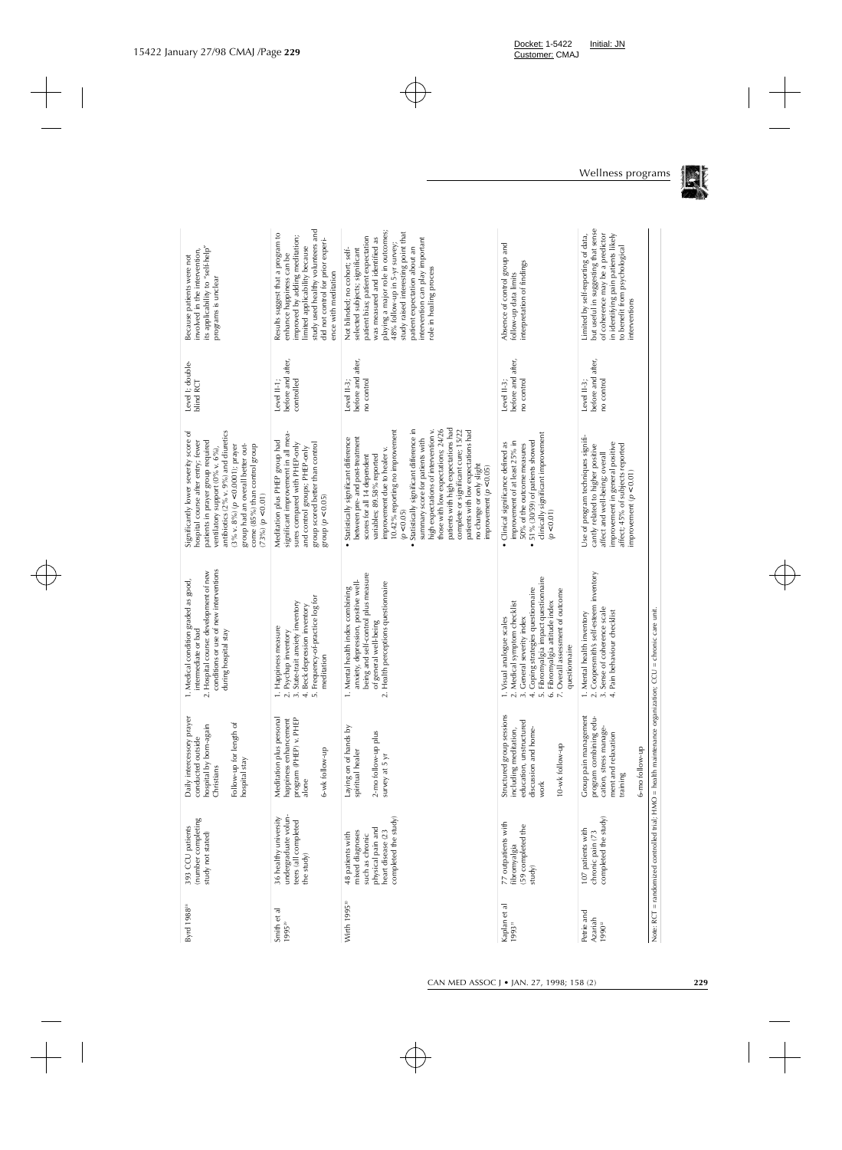| Byrd 1988 <sup>28</sup>                       | (number completing<br>393 CCU patients<br>study not stated)                                                              | prayer<br>Follow-up for length of<br>hospital by born-again<br>conducted outside<br>Daily intercessory<br>hospital stay<br>Christians | conditions or use of new interventions<br>2. Hospital course: development of new<br>1. Medical condition graded as good,<br>during hospital stay<br>intermediate or bad                                                                                               | antibiotics (2% v. 9%) and diuretics<br>Significantly lower severity score of<br>hospital course after entry; fewer<br>patients in prayer group required<br>group had an overall better out-<br>come (85%) than control group<br>$(3\% \text{ v. } 8\%)$ ( $p < 0.0001$ ); prayer<br>ventilatory support (0% v. 6%),<br>(73%) (p < 0.01)                                                                                                                                                                                                                        | Level I; double-<br>blind RCT                     | its applicability to "self-help"<br>involved in the intervention,<br>Because patients were not<br>programs is unclear                                                                                                                                                                                                                             |
|-----------------------------------------------|--------------------------------------------------------------------------------------------------------------------------|---------------------------------------------------------------------------------------------------------------------------------------|-----------------------------------------------------------------------------------------------------------------------------------------------------------------------------------------------------------------------------------------------------------------------|-----------------------------------------------------------------------------------------------------------------------------------------------------------------------------------------------------------------------------------------------------------------------------------------------------------------------------------------------------------------------------------------------------------------------------------------------------------------------------------------------------------------------------------------------------------------|---------------------------------------------------|---------------------------------------------------------------------------------------------------------------------------------------------------------------------------------------------------------------------------------------------------------------------------------------------------------------------------------------------------|
| Smith et al<br>199529                         | undergraduate volun-<br>36 healthy university<br>teers (all completed<br>the study)                                      | Meditation plus personal<br>PHEP<br>happiness enhancement<br>program (PHEP) v.<br>6-wk follow-up<br>alone                             | 5. Frequency-of-practice log for<br>3. State-trait anxiety inventory<br>4. Beck depression inventory<br>1. Happiness measure<br>Psychap inventory<br>meditation<br>$\overline{\mathcal{N}}$                                                                           | significant improvement in all mea-<br>Meditation plus PHEP group had<br>sures compared with PHEP-only<br>group scored better than control<br>and control groups; PHEP-only<br>group $(p < 0.05)$                                                                                                                                                                                                                                                                                                                                                               | before and after,<br>Level II-1;<br>controlled    | study used healthy volunteers and<br>Results suggest that a program to<br>improved by adding meditation;<br>did not control for prior experi-<br>limited applicability because<br>enhance happiness can be<br>ence with meditation                                                                                                                |
| Wirth 1995 <sup>30</sup>                      | completed the study)<br>physical pain and<br>mixed diagnoses<br>heart disease (23<br>48 patients with<br>such as chronic | á<br>51<br>Laying on of hands<br>2-mo follow-up plu<br>spiritual healer<br>survey at 5 yr                                             | being and self-control plus measure<br>anxiety, depression, positive well-<br>2. Health perceptions questionnaire<br>1. Mental health index combining<br>of general well-being                                                                                        | patients with high expectations had<br>those with low expectations; 24/26<br>Statistically significant difference in<br>high expectations of intervention v.<br>complete or significant cure; 15/22<br>10.42% reporting no improvement<br>patients with low expectations had<br>Statistically significant difference<br>between pre- and post-treatment<br>summary score for patients with<br>improvement due to healer v.<br>scores for all 14 dependent<br>variables; 89.58% reported<br>no change or only slight<br>improvement ( $p < 0.05$ )<br>(p < 0.05) | before and after,<br>no control<br>Level II-3;    | playing a major role in outcomes;<br>study raised interesting point that<br>patient bias; patient expectation<br>was measured and identified as<br>intervention can play important<br>48% follow-up in 5-yr survey;<br>patient expectation about an<br>Not blinded; no cohort; self-<br>selected subjects; significant<br>role in healing process |
| Kaplan et al<br>199331                        | 77 outpatients with<br>(59 completed the<br>fibromyalgia<br>study)                                                       | Structured group sessions<br>education, unstructured<br>including meditation,<br>discussion and home-<br>10-wk follow-up<br>work      | 5. Fibromyalgia impact questionnaire<br>Coping strategies questionnaire<br>Overall assessment of outcome<br>6. Fibromyalgia attitude index<br>2. Medical symptom checklist<br>1. Visual analogue scales<br>3. General severity index<br>questionnaire<br>N.<br>$\div$ | clinically significant improvement<br>51% (30/59) of patients showed<br>improvement of at least 25% in<br>Clinical significance defined as<br>50% of the outcome measures<br>(p < 0.01)<br>٠                                                                                                                                                                                                                                                                                                                                                                    | before and after,<br>no control<br>Level II-3;    | Absence of control group and<br>interpretation of findings<br>follow-up data limits                                                                                                                                                                                                                                                               |
| Petrie and<br>Azariah<br>$1990$ <sup>32</sup> | completed the study)<br>107 patients with<br>chronic pain (73                                                            | Group pain management<br>program combining edu-<br>cation, stress manage-<br>ment and relaxation<br>6-mo follow-up<br>training        | 2. Coopersmith's self-esteem inventory<br>3. Sense of coherence scale<br>4. Pain behaviour checklist<br>1. Mental health inventory                                                                                                                                    | Use of program techniques signifi-<br>improvement in general positive<br>cantly related to higher positive<br>affect; 45% of subjects reported<br>affect and well-being; overall<br>improvement ( $p < 0.01$ )                                                                                                                                                                                                                                                                                                                                                  | before and after,<br>no control<br>Level $II-3$ ; | but useful in suggesting that sense<br>Limited by self-reporting of data,<br>of coherence may be a predictor<br>in identifying pain patients likely<br>to benefit from psychological<br>interventions                                                                                                                                             |
|                                               |                                                                                                                          | Note: RCT = randomized controlled trial; HMO = health maintenance organization; CCU = chronic care unit.                              |                                                                                                                                                                                                                                                                       |                                                                                                                                                                                                                                                                                                                                                                                                                                                                                                                                                                 |                                                   |                                                                                                                                                                                                                                                                                                                                                   |